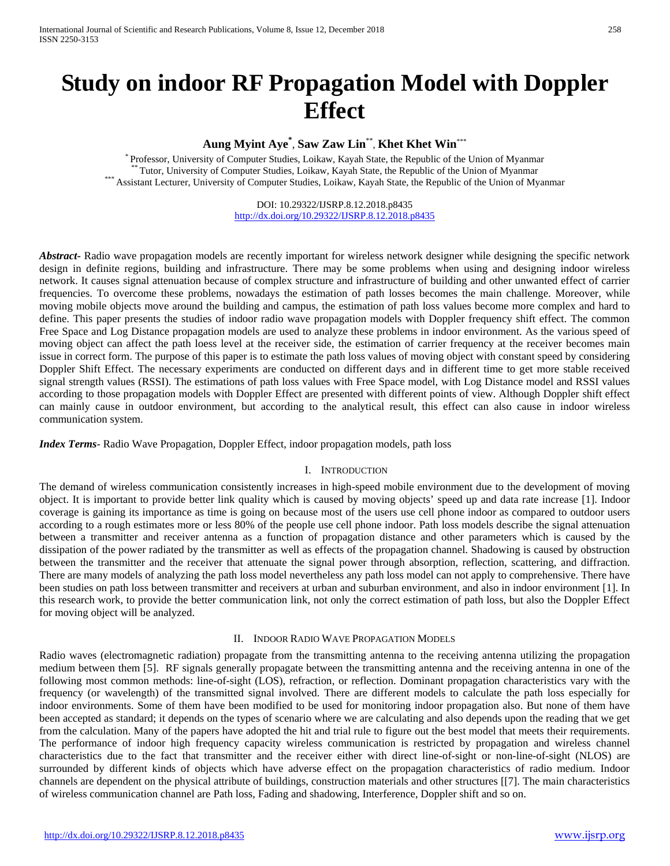# **Study on indoor RF Propagation Model with Doppler Effect**

# **Aung Myint Aye\*** , **Saw Zaw Lin**\*\* , **Khet Khet Win**\*\*\*

\* Professor, University of Computer Studies, Loikaw, Kayah State, the Republic of the Union of Myanmar<br>\*\*\* Tutor, University of Computer Studies, Loikaw, Kayah State, the Republic of the Union of Myanmar<br>\*\*\* Assistant Lect

DOI: 10.29322/IJSRP.8.12.2018.p8435 <http://dx.doi.org/10.29322/IJSRP.8.12.2018.p8435>

*Abstract***-** Radio wave propagation models are recently important for wireless network designer while designing the specific network design in definite regions, building and infrastructure. There may be some problems when using and designing indoor wireless network. It causes signal attenuation because of complex structure and infrastructure of building and other unwanted effect of carrier frequencies. To overcome these problems, nowadays the estimation of path losses becomes the main challenge. Moreover, while moving mobile objects move around the building and campus, the estimation of path loss values become more complex and hard to define. This paper presents the studies of indoor radio wave propagation models with Doppler frequency shift effect. The common Free Space and Log Distance propagation models are used to analyze these problems in indoor environment. As the various speed of moving object can affect the path loess level at the receiver side, the estimation of carrier frequency at the receiver becomes main issue in correct form. The purpose of this paper is to estimate the path loss values of moving object with constant speed by considering Doppler Shift Effect. The necessary experiments are conducted on different days and in different time to get more stable received signal strength values (RSSI). The estimations of path loss values with Free Space model, with Log Distance model and RSSI values according to those propagation models with Doppler Effect are presented with different points of view. Although Doppler shift effect can mainly cause in outdoor environment, but according to the analytical result, this effect can also cause in indoor wireless communication system.

*Index Terms*- Radio Wave Propagation, Doppler Effect, indoor propagation models, path loss

# I. INTRODUCTION

The demand of wireless communication consistently increases in high-speed mobile environment due to the development of moving object. It is important to provide better link quality which is caused by moving objects' speed up and data rate increase [1]. Indoor coverage is gaining its importance as time is going on because most of the users use cell phone indoor as compared to outdoor users according to a rough estimates more or less 80% of the people use cell phone indoor. Path loss models describe the signal attenuation between a transmitter and receiver antenna as a function of propagation distance and other parameters which is caused by the dissipation of the power radiated by the transmitter as well as effects of the propagation channel. Shadowing is caused by obstruction between the transmitter and the receiver that attenuate the signal power through absorption, reflection, scattering, and diffraction. There are many models of analyzing the path loss model nevertheless any path loss model can not apply to comprehensive. There have been studies on path loss between transmitter and receivers at urban and suburban environment, and also in indoor environment [1]. In this research work, to provide the better communication link, not only the correct estimation of path loss, but also the Doppler Effect for moving object will be analyzed.

#### II. INDOOR RADIO WAVE PROPAGATION MODELS

Radio waves (electromagnetic radiation) propagate from the transmitting antenna to the receiving antenna utilizing the propagation medium between them [5]. RF signals generally propagate between the transmitting antenna and the receiving antenna in one of the following most common methods: line-of-sight (LOS), refraction, or reflection. Dominant propagation characteristics vary with the frequency (or wavelength) of the transmitted signal involved. There are different models to calculate the path loss especially for indoor environments. Some of them have been modified to be used for monitoring indoor propagation also. But none of them have been accepted as standard; it depends on the types of scenario where we are calculating and also depends upon the reading that we get from the calculation. Many of the papers have adopted the hit and trial rule to figure out the best model that meets their requirements. The performance of indoor high frequency capacity wireless communication is restricted by propagation and wireless channel characteristics due to the fact that transmitter and the receiver either with direct line-of-sight or non-line-of-sight (NLOS) are surrounded by different kinds of objects which have adverse effect on the propagation characteristics of radio medium. Indoor channels are dependent on the physical attribute of buildings, construction materials and other structures [[7]. The main characteristics of wireless communication channel are Path loss, Fading and shadowing, Interference, Doppler shift and so on.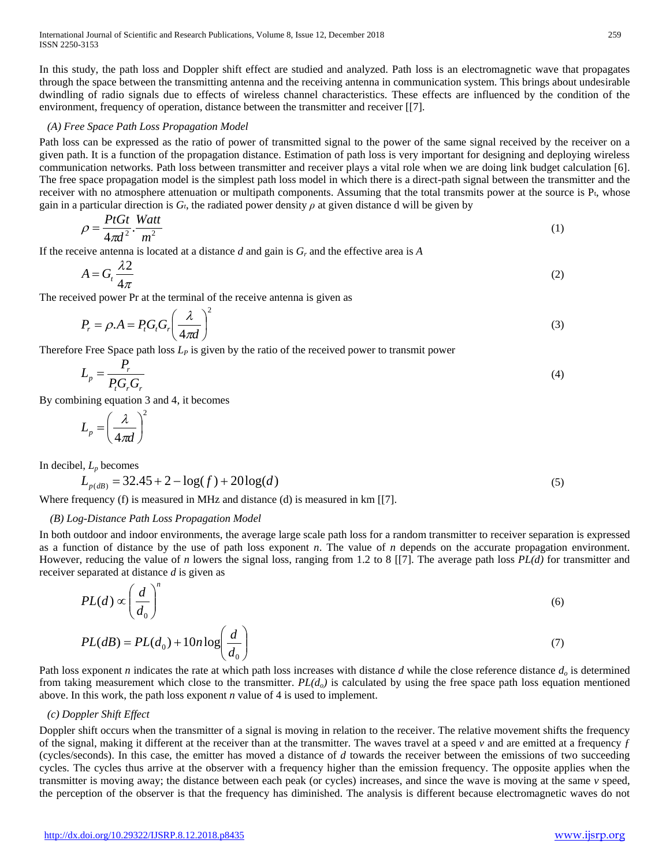In this study, the path loss and Doppler shift effect are studied and analyzed. Path loss is an electromagnetic wave that propagates through the space between the transmitting antenna and the receiving antenna in communication system. This brings about undesirable dwindling of radio signals due to effects of wireless channel characteristics. These effects are influenced by the condition of the environment, frequency of operation, distance between the transmitter and receiver [[7].

## *(A) Free Space Path Loss Propagation Model*

Path loss can be expressed as the ratio of power of transmitted signal to the power of the same signal received by the receiver on a given path. It is a function of the propagation distance. Estimation of path loss is very important for designing and deploying wireless communication networks. Path loss between transmitter and receiver plays a vital role when we are doing link budget calculation [6]. The free space propagation model is the simplest path loss model in which there is a direct-path signal between the transmitter and the receiver with no atmosphere attenuation or multipath components. Assuming that the total transmits power at the source is Pt, whose gain in a particular direction is  $G_t$ , the radiated power density  $\rho$  at given distance d will be given by

$$
\rho = \frac{P t G t}{4 \pi d^2} \cdot \frac{W a t t}{m^2} \tag{1}
$$

If the receive antenna is located at a distance *d* and gain is *Gr* and the effective area is *A*

$$
A = G_t \frac{\lambda}{4\pi} \tag{2}
$$

The received power Pr at the terminal of the receive antenna is given as

$$
P_r = \rho A = P_t G_t G_r \left(\frac{\lambda}{4\pi d}\right)^2 \tag{3}
$$

Therefore Free Space path loss  $L<sub>P</sub>$  is given by the ratio of the received power to transmit power

$$
L_p = \frac{P_r}{P_t G_r G_r} \tag{4}
$$

By combining equation 3 and 4, it becomes

$$
L_p = \left(\frac{\lambda}{4\pi d}\right)^2
$$

In decibel,  $L_p$  becomes

$$
L_{p(dB)} = 32.45 + 2 - \log(f) + 20\log(d)
$$
\n<sup>(5)</sup>

Where frequency (f) is measured in MHz and distance (d) is measured in km [[7].

# *(B) Log-Distance Path Loss Propagation Model*

In both outdoor and indoor environments, the average large scale path loss for a random transmitter to receiver separation is expressed as a function of distance by the use of path loss exponent *n*. The value of *n* depends on the accurate propagation environment. However, reducing the value of *n* lowers the signal loss, ranging from 1.2 to 8 [[7]. The average path loss *PL(d)* for transmitter and receiver separated at distance *d* is given as

$$
PL(d) \propto \left(\frac{d}{d_0}\right)^n \tag{6}
$$

$$
PL(dB) = PL(d_0) + 10n \log \left(\frac{d}{d_0}\right) \tag{7}
$$

Path loss exponent *n* indicates the rate at which path loss increases with distance *d* while the close reference distance *do* is determined from taking measurement which close to the transmitter.  $PL(d<sub>o</sub>)$  is calculated by using the free space path loss equation mentioned above. In this work, the path loss exponent *n* value of 4 is used to implement.

### *(c) Doppler Shift Effect*

Doppler shift occurs when the transmitter of a signal is moving in relation to the receiver. The relative movement shifts the frequency of the signal, making it different at the receiver than at the transmitter. The waves travel at a speed *v* and are emitted at a frequency *ƒ* (cycles/seconds). In this case, the emitter has moved a distance of *d* towards the receiver between the emissions of two succeeding cycles. The cycles thus arrive at the observer with a frequency higher than the emission frequency. The opposite applies when the transmitter is moving away; the distance between each peak (or cycles) increases, and since the wave is moving at the same *v* speed, the perception of the observer is that the frequency has diminished. The analysis is different because electromagnetic waves do not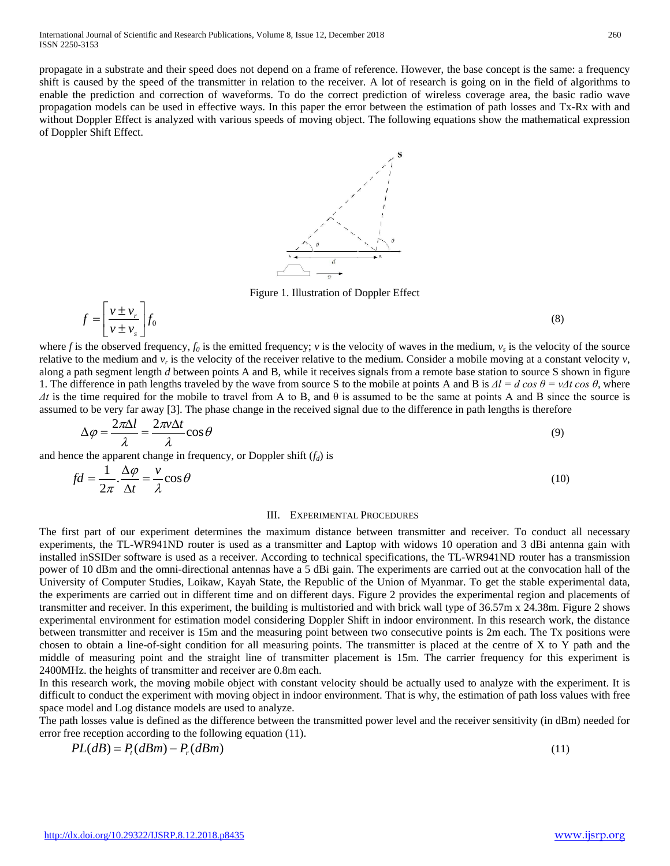propagate in a substrate and their speed does not depend on a frame of reference. However, the base concept is the same: a frequency shift is caused by the speed of the transmitter in relation to the receiver. A lot of research is going on in the field of algorithms to enable the prediction and correction of waveforms. To do the correct prediction of wireless coverage area, the basic radio wave propagation models can be used in effective ways. In this paper the error between the estimation of path losses and Tx-Rx with and without Doppler Effect is analyzed with various speeds of moving object. The following equations show the mathematical expression of Doppler Shift Effect.





where *f* is the observed frequency,  $f_0$  is the emitted frequency; *v* is the velocity of waves in the medium,  $v_s$  is the velocity of the source relative to the medium and  $v_r$  is the velocity of the receiver relative to the medium. Consider a mobile moving at a constant velocity  $v$ , along a path segment length *d* between points A and B, while it receives signals from a remote base station to source S shown in figure 1. The difference in path lengths traveled by the wave from source S to the mobile at points A and B is  $\Delta l = d \cos \theta = v \Delta t \cos \theta$ , where  $\Delta t$  is the time required for the mobile to travel from A to B, and  $\theta$  is assumed to be the same at points A and B since the source is assumed to be very far away [3]. The phase change in the received signal due to the difference in path lengths is therefore

$$
\Delta \varphi = \frac{2\pi\Delta l}{\lambda} = \frac{2\pi\nu\Delta t}{\lambda} \cos \theta \tag{9}
$$

and hence the apparent change in frequency, or Doppler shift  $(f_d)$  is

$$
fd = \frac{1}{2\pi} \cdot \frac{\Delta \varphi}{\Delta t} = \frac{v}{\lambda} \cos \theta \tag{10}
$$

#### III. EXPERIMENTAL PROCEDURES

The first part of our experiment determines the maximum distance between transmitter and receiver. To conduct all necessary experiments, the TL-WR941ND router is used as a transmitter and Laptop with widows 10 operation and 3 dBi antenna gain with installed inSSIDer software is used as a receiver. According to technical specifications, the TL-WR941ND router has a transmission power of 10 dBm and the omni-directional antennas have a 5 dBi gain. The experiments are carried out at the convocation hall of the University of Computer Studies, Loikaw, Kayah State, the Republic of the Union of Myanmar. To get the stable experimental data, the experiments are carried out in different time and on different days. Figure 2 provides the experimental region and placements of transmitter and receiver. In this experiment, the building is multistoried and with brick wall type of 36.57m x 24.38m. Figure 2 shows experimental environment for estimation model considering Doppler Shift in indoor environment. In this research work, the distance between transmitter and receiver is 15m and the measuring point between two consecutive points is 2m each. The Tx positions were chosen to obtain a line-of-sight condition for all measuring points. The transmitter is placed at the centre of X to Y path and the middle of measuring point and the straight line of transmitter placement is 15m. The carrier frequency for this experiment is 2400MHz. the heights of transmitter and receiver are 0.8m each.

In this research work, the moving mobile object with constant velocity should be actually used to analyze with the experiment. It is difficult to conduct the experiment with moving object in indoor environment. That is why, the estimation of path loss values with free space model and Log distance models are used to analyze.

The path losses value is defined as the difference between the transmitted power level and the receiver sensitivity (in dBm) needed for error free reception according to the following equation (11).

$$
PL(dB) = P_t(dBm) - P_r(dBm)
$$
\n<sup>(11)</sup>

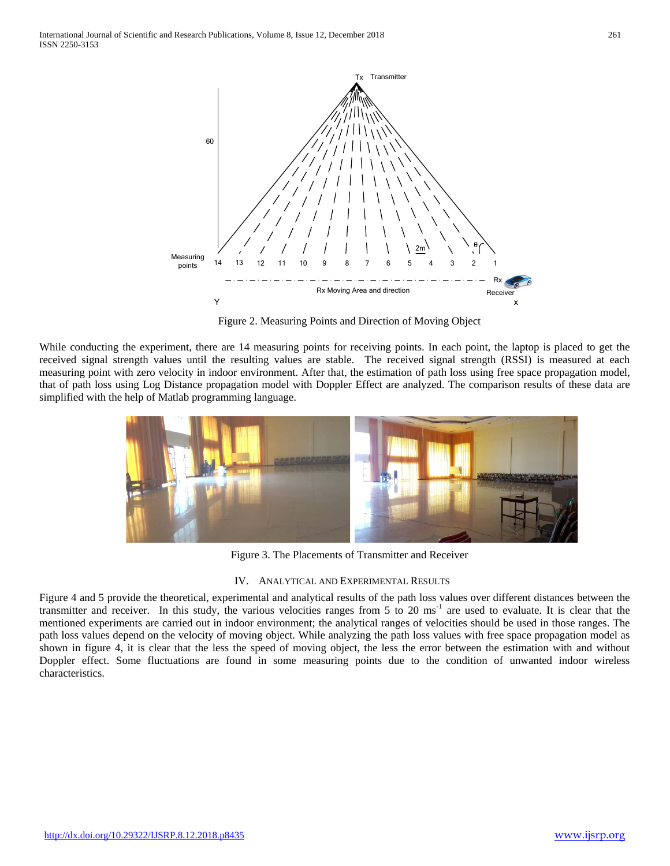

Figure 2. Measuring Points and Direction of Moving Object

While conducting the experiment, there are 14 measuring points for receiving points. In each point, the laptop is placed to get the received signal strength values until the resulting values are stable. The received signal strength (RSSI) is measured at each measuring point with zero velocity in indoor environment. After that, the estimation of path loss using free space propagation model, that of path loss using Log Distance propagation model with Doppler Effect are analyzed. The comparison results of these data are simplified with the help of Matlab programming language.



Figure 3. The Placements of Transmitter and Receiver

#### IV. ANALYTICAL AND EXPERIMENTAL RESULTS

Figure 4 and 5 provide the theoretical, experimental and analytical results of the path loss values over different distances between the transmitter and receiver. In this study, the various velocities ranges from 5 to 20 ms<sup>-1</sup> are used to evaluate. It is clear that the mentioned experiments are carried out in indoor environment; the analytical ranges of velocities should be used in those ranges. The path loss values depend on the velocity of moving object. While analyzing the path loss values with free space propagation model as shown in figure 4, it is clear that the less the speed of moving object, the less the error between the estimation with and without Doppler effect. Some fluctuations are found in some measuring points due to the condition of unwanted indoor wireless characteristics.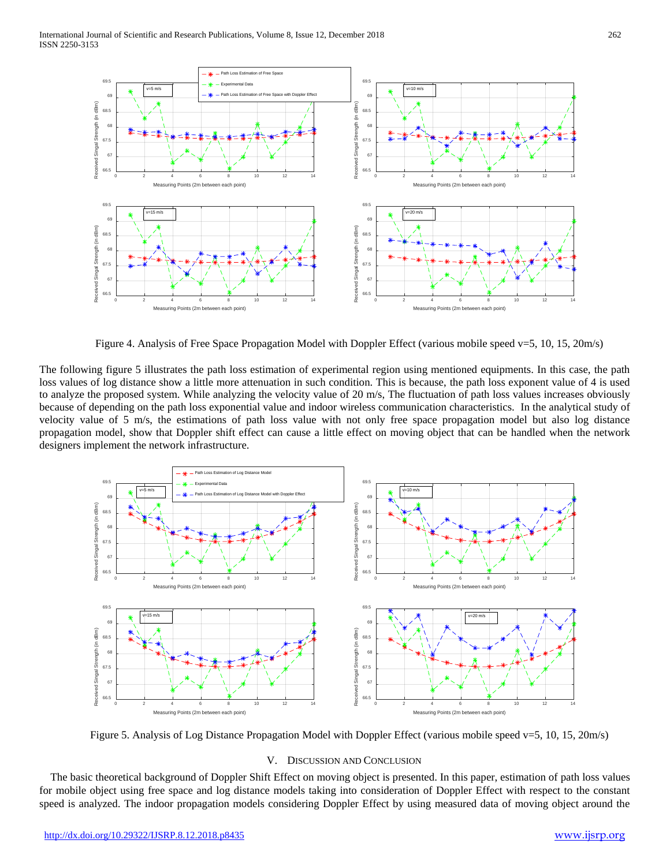

Figure 4. Analysis of Free Space Propagation Model with Doppler Effect (various mobile speed v=5, 10, 15, 20m/s)

The following figure 5 illustrates the path loss estimation of experimental region using mentioned equipments. In this case, the path loss values of log distance show a little more attenuation in such condition. This is because, the path loss exponent value of 4 is used to analyze the proposed system. While analyzing the velocity value of 20 m/s, The fluctuation of path loss values increases obviously because of depending on the path loss exponential value and indoor wireless communication characteristics. In the analytical study of velocity value of 5 m/s, the estimations of path loss value with not only free space propagation model but also log distance propagation model, show that Doppler shift effect can cause a little effect on moving object that can be handled when the network designers implement the network infrastructure.



Figure 5. Analysis of Log Distance Propagation Model with Doppler Effect (various mobile speed v=5, 10, 15, 20m/s)

#### V. DISCUSSION AND CONCLUSION

The basic theoretical background of Doppler Shift Effect on moving object is presented. In this paper, estimation of path loss values for mobile object using free space and log distance models taking into consideration of Doppler Effect with respect to the constant speed is analyzed. The indoor propagation models considering Doppler Effect by using measured data of moving object around the